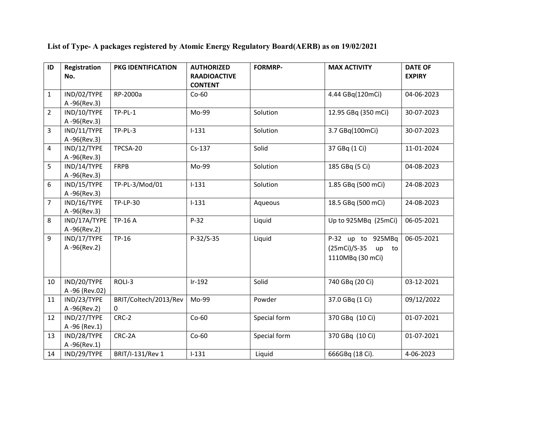**List of Type- A packages registered by Atomic Energy Regulatory Board(AERB) as on 19/02/2021** 

| ID             | Registration  | PKG IDENTIFICATION    | <b>AUTHORIZED</b>                     | <b>FORMRP-</b> | <b>MAX ACTIVITY</b>        | <b>DATE OF</b> |
|----------------|---------------|-----------------------|---------------------------------------|----------------|----------------------------|----------------|
|                | No.           |                       | <b>RAADIOACTIVE</b><br><b>CONTENT</b> |                |                            | <b>EXPIRY</b>  |
| $\mathbf{1}$   | IND/02/TYPE   | RP-2000a              | $Co-60$                               |                | 4.44 GBq(120mCi)           | 04-06-2023     |
|                | A-96(Rev.3)   |                       |                                       |                |                            |                |
| $\overline{2}$ | IND/10/TYPE   | $TP-PL-1$             | Mo-99                                 | Solution       | 12.95 GBq (350 mCi)        | 30-07-2023     |
|                | A-96(Rev.3)   |                       |                                       |                |                            |                |
| 3              | IND/11/TYPE   | $TP-PL-3$             | $1 - 131$                             | Solution       | 3.7 GBq(100mCi)            | 30-07-2023     |
|                | A-96(Rev.3)   |                       |                                       |                |                            |                |
| 4              | IND/12/TYPE   | TPCSA-20              | $Cs-137$                              | Solid          | 37 GBq (1 Ci)              | 11-01-2024     |
|                | A-96(Rev.3)   |                       |                                       |                |                            |                |
| 5              | IND/14/TYPE   | <b>FRPB</b>           | Mo-99                                 | Solution       | 185 GBq (5 Ci)             | 04-08-2023     |
|                | A-96(Rev.3)   |                       |                                       |                |                            |                |
| 6              | IND/15/TYPE   | TP-PL-3/Mod/01        | $1 - 131$                             | Solution       | 1.85 GBq (500 mCi)         | 24-08-2023     |
|                | A-96(Rev.3)   |                       |                                       |                |                            |                |
| 7              | IND/16/TYPE   | <b>TP-LP-30</b>       | $1 - 131$                             | Aqueous        | 18.5 GBq (500 mCi)         | 24-08-2023     |
|                | A-96(Rev.3)   |                       |                                       |                |                            |                |
| 8              | IND/17A/TYPE  | TP-16 A               | $P-32$                                | Liquid         | Up to 925MBq (25mCi)       | 06-05-2021     |
|                | A-96(Rev.2)   |                       |                                       |                |                            |                |
| 9              | IND/17/TYPE   | TP-16                 | $P-32/S-35$                           | Liquid         | P-32 up to 925MBq          | 06-05-2021     |
|                | A-96(Rev.2)   |                       |                                       |                | $(25mCi)/S-35$<br>up<br>to |                |
|                |               |                       |                                       |                | 1110MBq (30 mCi)           |                |
|                |               |                       |                                       |                |                            |                |
| 10             | IND/20/TYPE   | ROLI-3                | $Ir-192$                              | Solid          | 740 GBq (20 Ci)            | 03-12-2021     |
|                | A-96 (Rev.02) |                       |                                       |                |                            |                |
| 11             | IND/23/TYPE   | BRIT/Coltech/2013/Rev | Mo-99                                 | Powder         | 37.0 GBq (1 Ci)            | 09/12/2022     |
|                | A-96(Rev.2)   | $\mathbf{0}$          |                                       |                |                            |                |
| 12             | IND/27/TYPE   | CRC-2                 | $Co-60$                               | Special form   | 370 GBq (10 Ci)            | 01-07-2021     |
|                | A-96 (Rev.1)  |                       |                                       |                |                            |                |
| 13             | IND/28/TYPE   | CRC-2A                | $Co-60$                               | Special form   | 370 GBq (10 Ci)            | 01-07-2021     |
|                | A-96(Rev.1)   |                       |                                       |                |                            |                |
| 14             | IND/29/TYPE   | BRIT/I-131/Rev 1      | $I-131$                               | Liquid         | 666GBq (18 Ci).            | 4-06-2023      |